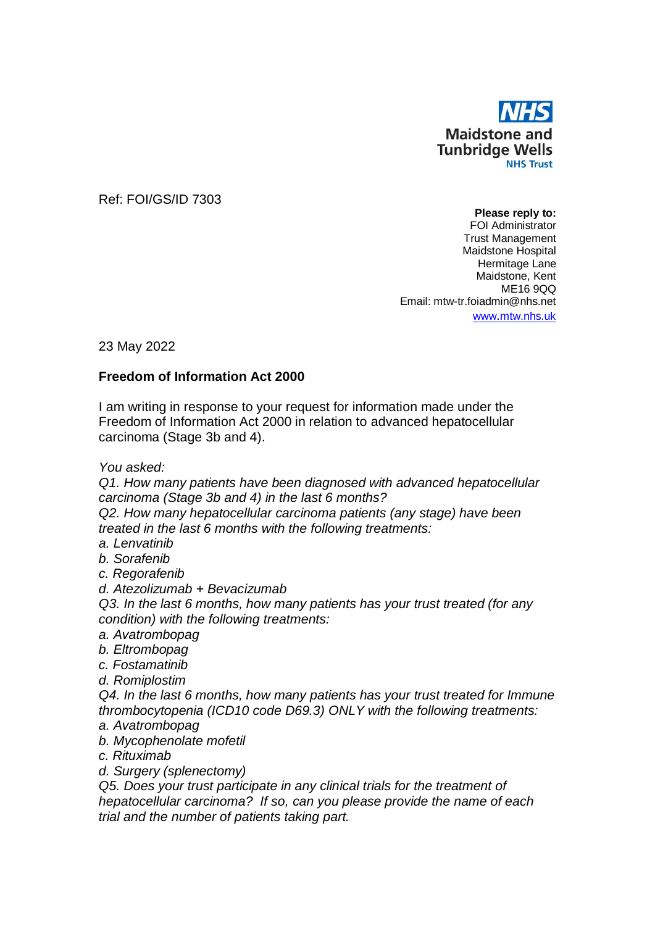

Ref: FOI/GS/ID 7303

**Please reply to:** FOI Administrator Trust Management Maidstone Hospital Hermitage Lane Maidstone, Kent ME16 9QQ Email: mtw-tr.foiadmin@nhs.net www.[mtw.nhs.uk](http://www.mtw.nhs.uk/)

23 May 2022

## **Freedom of Information Act 2000**

I am writing in response to your request for information made under the Freedom of Information Act 2000 in relation to advanced hepatocellular carcinoma (Stage 3b and 4).

*You asked:*

*Q1. How many patients have been diagnosed with advanced hepatocellular carcinoma (Stage 3b and 4) in the last 6 months?*

*Q2. How many hepatocellular carcinoma patients (any stage) have been treated in the last 6 months with the following treatments:*

*a. Lenvatinib*

*b. Sorafenib*

*c. Regorafenib*

*d. Atezolizumab + Bevacizumab*

*Q3. In the last 6 months, how many patients has your trust treated (for any condition) with the following treatments:*

- *a. Avatrombopag*
- *b. Eltrombopag*
- *c. Fostamatinib*

*d. Romiplostim*

*Q4. In the last 6 months, how many patients has your trust treated for Immune thrombocytopenia (ICD10 code D69.3) ONLY with the following treatments:*

- *a. Avatrombopag*
- *b. Mycophenolate mofetil*
- *c. Rituximab*

*d. Surgery (splenectomy)*

*Q5. Does your trust participate in any clinical trials for the treatment of hepatocellular carcinoma? If so, can you please provide the name of each trial and the number of patients taking part.*